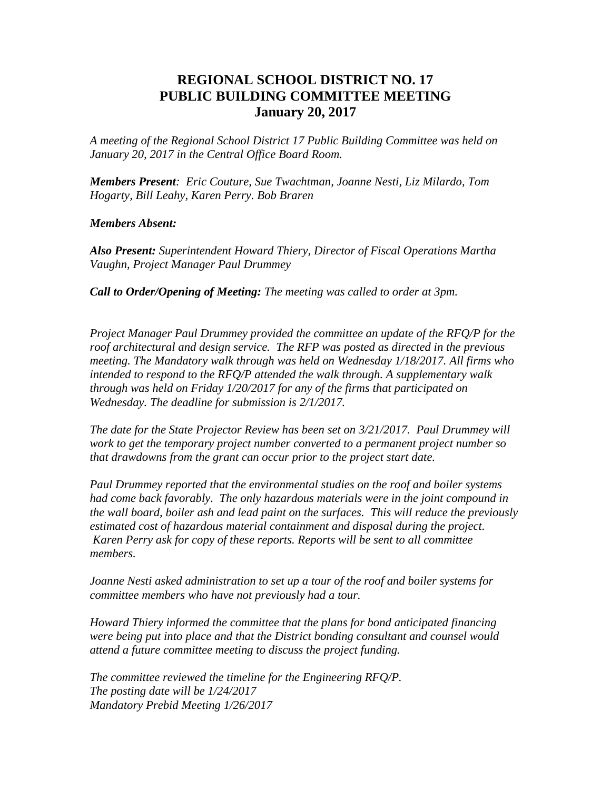## **REGIONAL SCHOOL DISTRICT NO. 17 PUBLIC BUILDING COMMITTEE MEETING January 20, 2017**

*A meeting of the Regional School District 17 Public Building Committee was held on January 20, 2017 in the Central Office Board Room.*

*Members Present: Eric Couture, Sue Twachtman, Joanne Nesti, Liz Milardo, Tom Hogarty, Bill Leahy, Karen Perry. Bob Braren* 

## *Members Absent:*

*Also Present: Superintendent Howard Thiery, Director of Fiscal Operations Martha Vaughn, Project Manager Paul Drummey*

*Call to Order/Opening of Meeting: The meeting was called to order at 3pm.* 

*Project Manager Paul Drummey provided the committee an update of the RFQ/P for the roof architectural and design service. The RFP was posted as directed in the previous meeting. The Mandatory walk through was held on Wednesday 1/18/2017. All firms who intended to respond to the RFQ/P attended the walk through. A supplementary walk through was held on Friday 1/20/2017 for any of the firms that participated on Wednesday. The deadline for submission is 2/1/2017.*

*The date for the State Projector Review has been set on 3/21/2017. Paul Drummey will work to get the temporary project number converted to a permanent project number so that drawdowns from the grant can occur prior to the project start date.*

*Paul Drummey reported that the environmental studies on the roof and boiler systems*  had come back favorably. The only hazardous materials were in the joint compound in *the wall board, boiler ash and lead paint on the surfaces. This will reduce the previously estimated cost of hazardous material containment and disposal during the project. Karen Perry ask for copy of these reports. Reports will be sent to all committee members.*

*Joanne Nesti asked administration to set up a tour of the roof and boiler systems for committee members who have not previously had a tour.*

*Howard Thiery informed the committee that the plans for bond anticipated financing were being put into place and that the District bonding consultant and counsel would attend a future committee meeting to discuss the project funding.*

*The committee reviewed the timeline for the Engineering RFQ/P. The posting date will be 1/24/2017 Mandatory Prebid Meeting 1/26/2017*